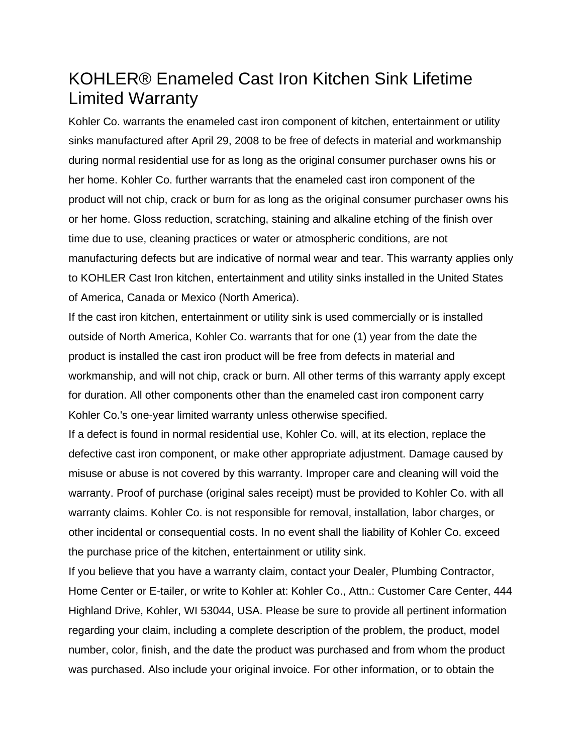## KOHLER® Enameled Cast Iron Kitchen Sink Lifetime Limited Warranty

Kohler Co. warrants the enameled cast iron component of kitchen, entertainment or utility sinks manufactured after April 29, 2008 to be free of defects in material and workmanship during normal residential use for as long as the original consumer purchaser owns his or her home. Kohler Co. further warrants that the enameled cast iron component of the product will not chip, crack or burn for as long as the original consumer purchaser owns his or her home. Gloss reduction, scratching, staining and alkaline etching of the finish over time due to use, cleaning practices or water or atmospheric conditions, are not manufacturing defects but are indicative of normal wear and tear. This warranty applies only to KOHLER Cast Iron kitchen, entertainment and utility sinks installed in the United States of America, Canada or Mexico (North America).

If the cast iron kitchen, entertainment or utility sink is used commercially or is installed outside of North America, Kohler Co. warrants that for one (1) year from the date the product is installed the cast iron product will be free from defects in material and workmanship, and will not chip, crack or burn. All other terms of this warranty apply except for duration. All other components other than the enameled cast iron component carry Kohler Co.'s one-year limited warranty unless otherwise specified.

If a defect is found in normal residential use, Kohler Co. will, at its election, replace the defective cast iron component, or make other appropriate adjustment. Damage caused by misuse or abuse is not covered by this warranty. Improper care and cleaning will void the warranty. Proof of purchase (original sales receipt) must be provided to Kohler Co. with all warranty claims. Kohler Co. is not responsible for removal, installation, labor charges, or other incidental or consequential costs. In no event shall the liability of Kohler Co. exceed the purchase price of the kitchen, entertainment or utility sink.

If you believe that you have a warranty claim, contact your Dealer, Plumbing Contractor, Home Center or E-tailer, or write to Kohler at: Kohler Co., Attn.: Customer Care Center, 444 Highland Drive, Kohler, WI 53044, USA. Please be sure to provide all pertinent information regarding your claim, including a complete description of the problem, the product, model number, color, finish, and the date the product was purchased and from whom the product was purchased. Also include your original invoice. For other information, or to obtain the